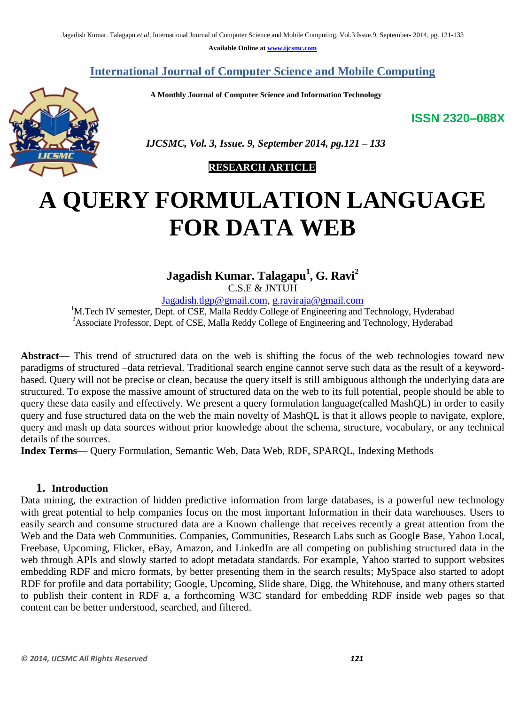**Available Online at www.ijcsmc.com**

# **International Journal of Computer Science and Mobile Computing**

 **A Monthly Journal of Computer Science and Information Technology**

**ISSN 2320–088X**



 *IJCSMC, Vol. 3, Issue. 9, September 2014, pg.121 – 133*

# **RESEARCH ARTICLE**

# **A QUERY FORMULATION LANGUAGE FOR DATA WEB**

**Jagadish Kumar. Talagapu<sup>1</sup> , G. Ravi<sup>2</sup>**

C.S.E & JNTUH

Jagadish.tlgp@gmail.com, g.raviraja@gmail.com

<sup>1</sup>M.Tech IV semester, Dept. of CSE, Malla Reddy College of Engineering and Technology, Hyderabad <sup>2</sup>Associate Professor, Dept. of CSE, Malla Reddy College of Engineering and Technology, Hyderabad

**Abstract—** This trend of structured data on the web is shifting the focus of the web technologies toward new paradigms of structured –data retrieval. Traditional search engine cannot serve such data as the result of a keywordbased. Query will not be precise or clean, because the query itself is still ambiguous although the underlying data are structured. To expose the massive amount of structured data on the web to its full potential, people should be able to query these data easily and effectively. We present a query formulation language(called MashQL) in order to easily query and fuse structured data on the web the main novelty of MashQL is that it allows people to navigate, explore, query and mash up data sources without prior knowledge about the schema, structure, vocabulary, or any technical details of the sources.

**Index Terms**— Query Formulation, Semantic Web, Data Web, RDF, SPARQL, Indexing Methods

#### **1. Introduction**

Data mining, the extraction of hidden predictive information from large databases, is a powerful new technology with great potential to help companies focus on the most important Information in their data warehouses. Users to easily search and consume structured data are a Known challenge that receives recently a great attention from the Web and the Data web Communities. Companies, Communities, Research Labs such as Google Base, Yahoo Local, Freebase, Upcoming, Flicker, eBay, Amazon, and LinkedIn are all competing on publishing structured data in the web through APIs and slowly started to adopt metadata standards. For example, Yahoo started to support websites embedding RDF and micro formats, by better presenting them in the search results; MySpace also started to adopt RDF for profile and data portability; Google, Upcoming, Slide share, Digg, the Whitehouse, and many others started to publish their content in RDF a, a forthcoming W3C standard for embedding RDF inside web pages so that content can be better understood, searched, and filtered.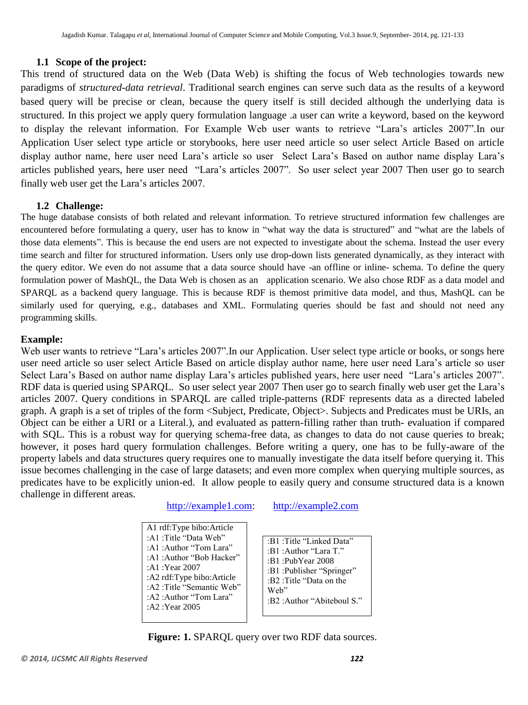#### **1.1 Scope of the project:**

This trend of structured data on the Web (Data Web) is shifting the focus of Web technologies towards new paradigms of *structured-data retrieval*. Traditional search engines can serve such data as the results of a keyword based query will be precise or clean, because the query itself is still decided although the underlying data is structured. In this project we apply query formulation language .a user can write a keyword, based on the keyword to display the relevant information. For Example Web user wants to retrieve "Lara's articles 2007". In our Application User select type article or storybooks, here user need article so user select Article Based on article display author name, here user need Lara's article so user Select Lara's Based on author name display Lara's articles published years, here user need "Lara's articles 2007". So user select year 2007 Then user go to search finally web user get the Lara's articles 2007.

#### **1.2 Challenge:**

The huge database consists of both related and relevant information. To retrieve structured information few challenges are encountered before formulating a query, user has to know in "what way the data is structured" and "what are the labels of those data elements". This is because the end users are not expected to investigate about the schema. Instead the user every time search and filter for structured information. Users only use drop-down lists generated dynamically, as they interact with the query editor. We even do not assume that a data source should have -an offline or inline- schema. To define the query formulation power of MashQL, the Data Web is chosen as an application scenario. We also chose RDF as a data model and SPARQL as a backend query language. This is because RDF is themost primitive data model, and thus, MashQL can be similarly used for querying, e.g., databases and XML. Formulating queries should be fast and should not need any programming skills.

#### **Example:**

Web user wants to retrieve "Lara's articles 2007". In our Application. User select type article or books, or songs here user need article so user select Article Based on article display author name, here user need Lara's article so user Select Lara's Based on author name display Lara's articles published years, here user need "Lara's articles 2007". RDF data is queried using SPARQL. So user select year 2007 Then user go to search finally web user get the Lara's articles 2007. Query conditions in SPARQL are called triple-patterns (RDF represents data as a directed labeled graph. A graph is a set of triples of the form <Subject, Predicate, Object>. Subjects and Predicates must be URIs, an Object can be either a URI or a Literal.), and evaluated as pattern-filling rather than truth- evaluation if compared with SQL. This is a robust way for querying schema-free data, as changes to data do not cause queries to break; however, it poses hard query formulation challenges. Before writing a query, one has to be fully-aware of the property labels and data structures query requires one to manually investigate the data itself before querying it. This issue becomes challenging in the case of large datasets; and even more complex when querying multiple sources, as predicates have to be explicitly union-ed. It allow people to easily query and consume structured data is a known challenge in different areas.

[http://example1.com:](http://example1.com/) [http://example2.com](http://example2.com/)

- A1 rdf:Type bibo:Article :A1 :Title "Data Web" :A1 :Author "Tom Lara" :A1 :Author "Bob Hacker" :A1 :Year 2007 :A2 rdf:Type bibo:Article :A2 :Title "Semantic Web" :A2 :Author "Tom Lara" :A2 :Year 2005
- :B1 :Title "Linked Data" :B1 :Author "Lara T." :B1 :PubYear 2008 :B1 :Publisher "Springer" :B2 :Title "Data on the Web" :B2 : Author "Abiteboul S."

**Figure: 1.** SPARQL query over two RDF data sources.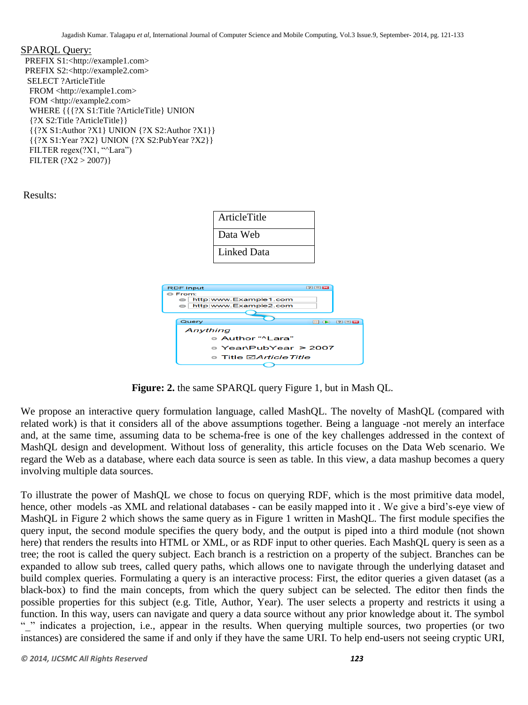#### SPARQL Query:

 PREFIX S1:<http://example1.com> PREFIX S2:<http://example2.com> SELECT ?ArticleTitle FROM <http://example1.com> FOM <http://example2.com> WHERE {{{?X S1:Title ?ArticleTitle} UNION {?X S2:Title ?ArticleTitle}} {{?X S1:Author ?X1} UNION {?X S2:Author ?X1}} {{?X S1:Year ?X2} UNION {?X S2:PubYear ?X2}} FILTER regex(?X1, "^Lara") FILTER (?X2 > 2007)}

Results:



**Figure: 2.** the same SPARQL query Figure 1, but in Mash QL.

We propose an interactive query formulation language, called MashQL. The novelty of MashQL (compared with related work) is that it considers all of the above assumptions together. Being a language -not merely an interface and, at the same time, assuming data to be schema-free is one of the key challenges addressed in the context of MashQL design and development. Without loss of generality, this article focuses on the Data Web scenario. We regard the Web as a database, where each data source is seen as table. In this view, a data mashup becomes a query involving multiple data sources.

To illustrate the power of MashQL we chose to focus on querying RDF, which is the most primitive data model, hence, other models -as XML and relational databases - can be easily mapped into it. We give a bird's-eye view of MashQL in Figure 2 which shows the same query as in Figure 1 written in MashQL. The first module specifies the query input, the second module specifies the query body, and the output is piped into a third module (not shown here) that renders the results into HTML or XML, or as RDF input to other queries. Each MashQL query is seen as a tree; the root is called the query subject. Each branch is a restriction on a property of the subject. Branches can be expanded to allow sub trees, called query paths, which allows one to navigate through the underlying dataset and build complex queries. Formulating a query is an interactive process: First, the editor queries a given dataset (as a black-box) to find the main concepts, from which the query subject can be selected. The editor then finds the possible properties for this subject (e.g. Title, Author, Year). The user selects a property and restricts it using a function. In this way, users can navigate and query a data source without any prior knowledge about it. The symbol " "indicates a projection, i.e., appear in the results. When querying multiple sources, two properties (or two instances) are considered the same if and only if they have the same URI. To help end-users not seeing cryptic URI,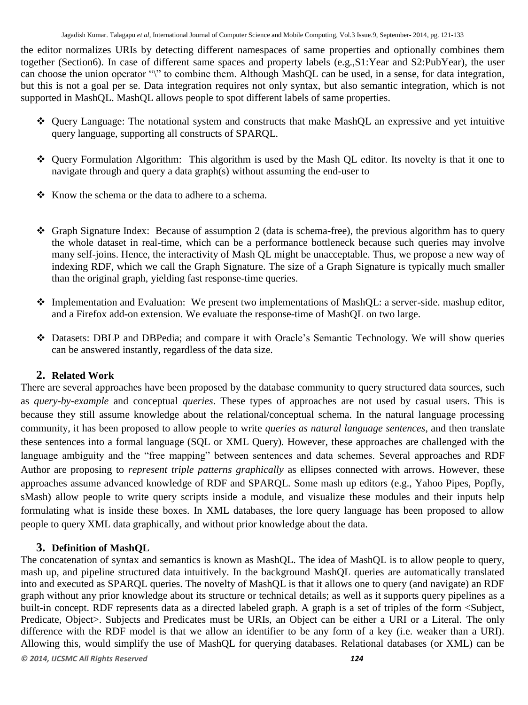the editor normalizes URIs by detecting different namespaces of same properties and optionally combines them together (Section6). In case of different same spaces and property labels (e.g.,S1:Year and S2:PubYear), the user can choose the union operator "\" to combine them. Although MashQL can be used, in a sense, for data integration, but this is not a goal per se. Data integration requires not only syntax, but also semantic integration, which is not supported in MashQL. MashQL allows people to spot different labels of same properties.

- Query Language: The notational system and constructs that make MashQL an expressive and yet intuitive query language, supporting all constructs of SPARQL.
- Query Formulation Algorithm: This algorithm is used by the Mash QL editor. Its novelty is that it one to navigate through and query a data graph(s) without assuming the end-user to
- $\triangle$  Know the schema or the data to adhere to a schema.
- Graph Signature Index: Because of assumption 2 (data is schema-free), the previous algorithm has to query the whole dataset in real-time, which can be a performance bottleneck because such queries may involve many self-joins. Hence, the interactivity of Mash QL might be unacceptable. Thus, we propose a new way of indexing RDF, which we call the Graph Signature. The size of a Graph Signature is typically much smaller than the original graph, yielding fast response-time queries.
- Implementation and Evaluation: We present two implementations of MashQL: a server-side. mashup editor, and a Firefox add-on extension. We evaluate the response-time of MashQL on two large.
- Datasets: DBLP and DBPedia; and compare it with Oracle's Semantic Technology. We will show queries can be answered instantly, regardless of the data size.

# **2. Related Work**

There are several approaches have been proposed by the database community to query structured data sources, such as *query-by-example* and conceptual *queries*. These types of approaches are not used by casual users. This is because they still assume knowledge about the relational/conceptual schema. In the natural language processing community, it has been proposed to allow people to write *queries as natural language sentences*, and then translate these sentences into a formal language (SQL or XML Query). However, these approaches are challenged with the language ambiguity and the "free mapping" between sentences and data schemes. Several approaches and RDF Author are proposing to *represent triple patterns graphically* as ellipses connected with arrows. However, these approaches assume advanced knowledge of RDF and SPARQL. Some mash up editors (e.g., Yahoo Pipes, Popfly, sMash) allow people to write query scripts inside a module, and visualize these modules and their inputs help formulating what is inside these boxes. In XML databases, the lore query language has been proposed to allow people to query XML data graphically, and without prior knowledge about the data.

# **3. Definition of MashQL**

The concatenation of syntax and semantics is known as MashQL. The idea of MashQL is to allow people to query, mash up, and pipeline structured data intuitively. In the background MashQL queries are automatically translated into and executed as SPARQL queries. The novelty of MashQL is that it allows one to query (and navigate) an RDF graph without any prior knowledge about its structure or technical details; as well as it supports query pipelines as a built-in concept. RDF represents data as a directed labeled graph. A graph is a set of triples of the form <Subject, Predicate, Object>. Subjects and Predicates must be URIs, an Object can be either a URI or a Literal. The only difference with the RDF model is that we allow an identifier to be any form of a key (i.e. weaker than a URI). Allowing this, would simplify the use of MashQL for querying databases. Relational databases (or XML) can be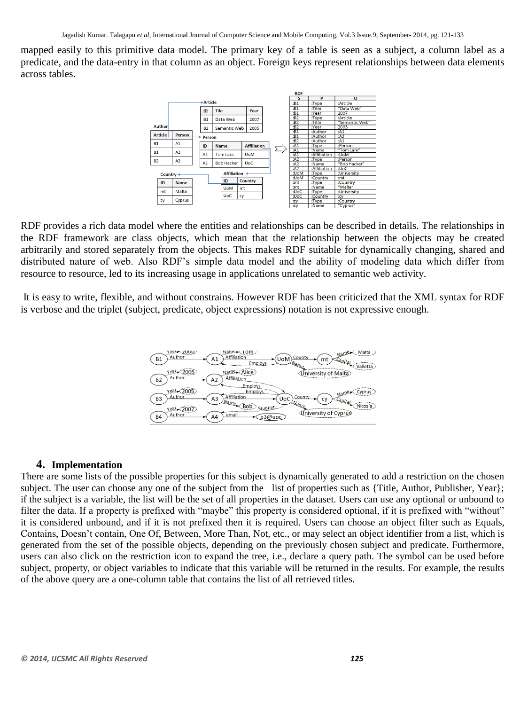mapped easily to this primitive data model. The primary key of a table is seen as a subject, a column label as a predicate, and the data-entry in that column as an object. Foreign keys represent relationships between data elements across tables.



RDF provides a rich data model where the entities and relationships can be described in details. The relationships in the RDF framework are class objects, which mean that the relationship between the objects may be created arbitrarily and stored separately from the objects. This makes RDF suitable for dynamically changing, shared and distributed nature of web. Also RDF's simple data model and the ability of modeling data which differ from resource to resource, led to its increasing usage in applications unrelated to semantic web activity.

It is easy to write, flexible, and without constrains. However RDF has been criticized that the XML syntax for RDF is verbose and the triplet (subject, predicate, object expressions) notation is not expressive enough.



#### **4. Implementation**

There are some lists of the possible properties for this subject is dynamically generated to add a restriction on the chosen subject. The user can choose any one of the subject from the list of properties such as {Title, Author, Publisher, Year}; if the subject is a variable, the list will be the set of all properties in the dataset. Users can use any optional or unbound to filter the data. If a property is prefixed with "maybe" this property is considered optional, if it is prefixed with "without" it is considered unbound, and if it is not prefixed then it is required. Users can choose an object filter such as Equals, Contains, Doesn't contain, One Of, Between, More Than, Not, etc., or may select an object identifier from a list, which is generated from the set of the possible objects, depending on the previously chosen subject and predicate. Furthermore, users can also click on the restriction icon to expand the tree, i.e., declare a query path. The symbol can be used before subject, property, or object variables to indicate that this variable will be returned in the results. For example, the results of the above query are a one-column table that contains the list of all retrieved titles.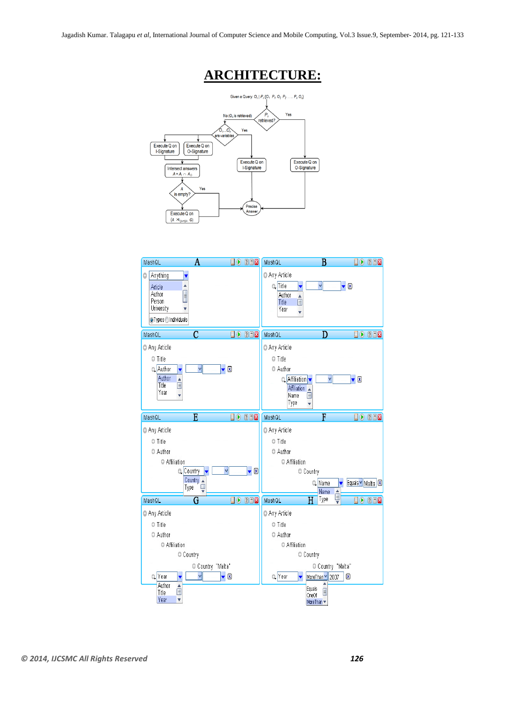# **ARCHITECTURE:**



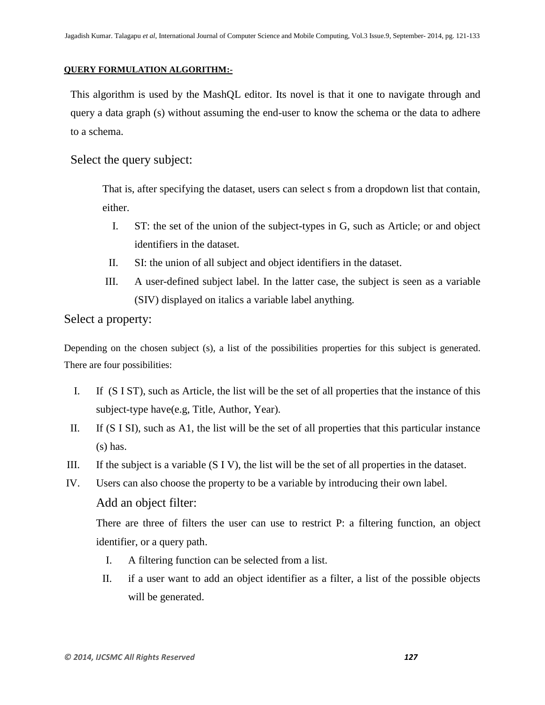#### **QUERY FORMULATION ALGORITHM:-**

This algorithm is used by the MashQL editor. Its novel is that it one to navigate through and query a data graph (s) without assuming the end-user to know the schema or the data to adhere to a schema.

Select the query subject:

That is, after specifying the dataset, users can select s from a dropdown list that contain, either.

- I. ST: the set of the union of the subject-types in G, such as Article; or and object identifiers in the dataset.
- II. SI: the union of all subject and object identifiers in the dataset.
- III. A user-defined subject label. In the latter case, the subject is seen as a variable (SIV) displayed on italics a variable label anything.

# Select a property:

Depending on the chosen subject (s), a list of the possibilities properties for this subject is generated. There are four possibilities:

- I. If (S I ST), such as Article, the list will be the set of all properties that the instance of this subject-type have(e.g, Title, Author, Year).
- II. If (S I SI), such as A1, the list will be the set of all properties that this particular instance (s) has.
- III. If the subject is a variable (S I V), the list will be the set of all properties in the dataset.
- IV. Users can also choose the property to be a variable by introducing their own label.

#### Add an object filter:

There are three of filters the user can use to restrict P: a filtering function, an object identifier, or a query path.

- I. A filtering function can be selected from a list.
- II. if a user want to add an object identifier as a filter, a list of the possible objects will be generated.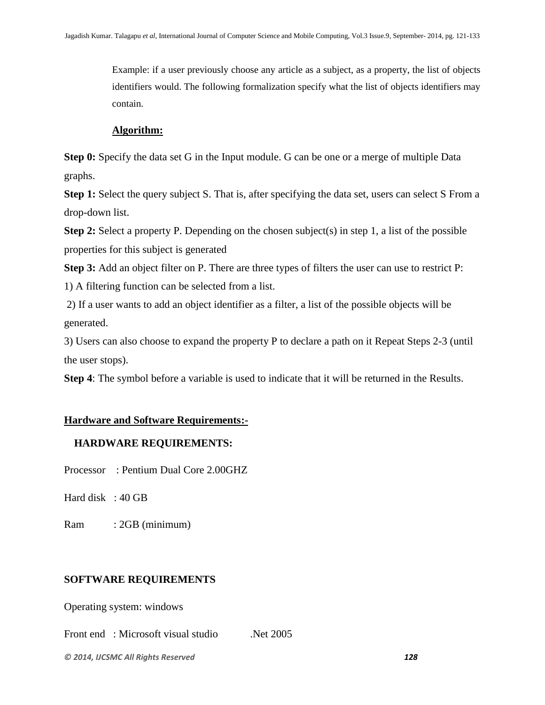Example: if a user previously choose any article as a subject, as a property, the list of objects identifiers would. The following formalization specify what the list of objects identifiers may contain.

### **Algorithm:**

**Step 0:** Specify the data set G in the Input module. G can be one or a merge of multiple Data graphs.

**Step 1:** Select the query subject S. That is, after specifying the data set, users can select S From a drop-down list.

**Step 2:** Select a property P. Depending on the chosen subject(s) in step 1, a list of the possible properties for this subject is generated

**Step 3:** Add an object filter on P. There are three types of filters the user can use to restrict P:

1) A filtering function can be selected from a list.

2) If a user wants to add an object identifier as a filter, a list of the possible objects will be generated.

3) Users can also choose to expand the property P to declare a path on it Repeat Steps 2-3 (until the user stops).

**Step 4**: The symbol before a variable is used to indicate that it will be returned in the Results.

# **Hardware and Software Requirements:-**

# **HARDWARE REQUIREMENTS:**

Processor : Pentium Dual Core 2.00GHZ

Hard disk : 40 GB

Ram : 2GB (minimum)

# **SOFTWARE REQUIREMENTS**

Operating system: windows

Front end: Microsoft visual studio .Net 2005

*© 2014, IJCSMC All Rights Reserved 128*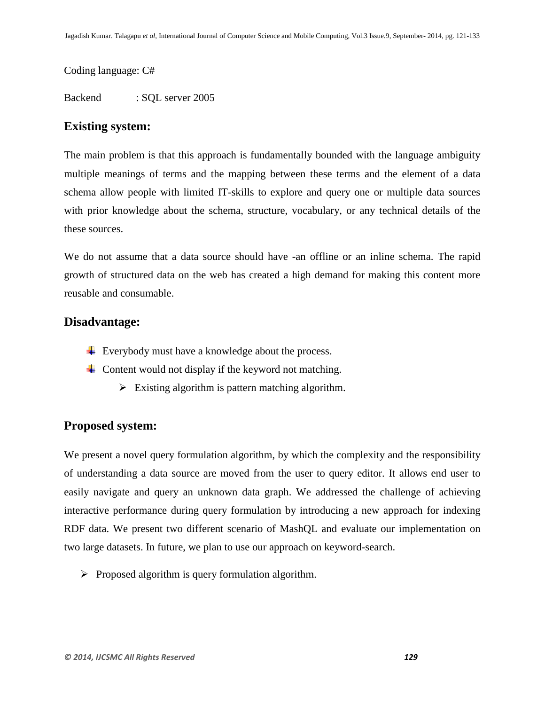Coding language: C#

Backend : SQL server 2005

# **Existing system:**

The main problem is that this approach is fundamentally bounded with the language ambiguity multiple meanings of terms and the mapping between these terms and the element of a data schema allow people with limited IT-skills to explore and query one or multiple data sources with prior knowledge about the schema, structure, vocabulary, or any technical details of the these sources.

We do not assume that a data source should have -an offline or an inline schema. The rapid growth of structured data on the web has created a high demand for making this content more reusable and consumable.

# **Disadvantage:**

- Everybody must have a knowledge about the process.
- $\overline{\phantom{a}}$  Content would not display if the keyword not matching.
	- $\triangleright$  Existing algorithm is pattern matching algorithm.

# **Proposed system:**

We present a novel query formulation algorithm, by which the complexity and the responsibility of understanding a data source are moved from the user to query editor. It allows end user to easily navigate and query an unknown data graph. We addressed the challenge of achieving interactive performance during query formulation by introducing a new approach for indexing RDF data. We present two different scenario of MashQL and evaluate our implementation on two large datasets. In future, we plan to use our approach on keyword-search.

 $\triangleright$  Proposed algorithm is query formulation algorithm.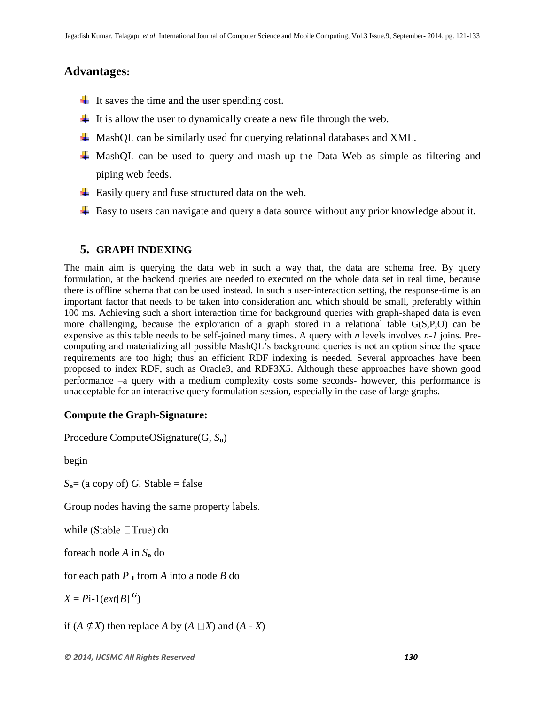# **Advantages:**

- $\downarrow$  It saves the time and the user spending cost.
- $\ddot{\phantom{1}}$  It is allow the user to dynamically create a new file through the web.
- $\perp$  MashOL can be similarly used for querying relational databases and XML.
- $\overline{\text{4}}$  MashQL can be used to query and mash up the Data Web as simple as filtering and piping web feeds.
- $\overline{\phantom{a}}$  Easily query and fuse structured data on the web.
- **Easy to users can navigate and query a data source without any prior knowledge about it.**

# **5. GRAPH INDEXING**

The main aim is querying the data web in such a way that, the data are schema free. By query formulation, at the backend queries are needed to executed on the whole data set in real time, because there is offline schema that can be used instead. In such a user-interaction setting, the response-time is an important factor that needs to be taken into consideration and which should be small, preferably within 100 ms. Achieving such a short interaction time for background queries with graph-shaped data is even more challenging, because the exploration of a graph stored in a relational table G(S,P,O) can be expensive as this table needs to be self-joined many times. A query with *n* levels involves *n-1* joins. Precomputing and materializing all possible MashQL's background queries is not an option since the space requirements are too high; thus an efficient RDF indexing is needed. Several approaches have been proposed to index RDF, such as Oracle3, and RDF3X5. Although these approaches have shown good performance –a query with a medium complexity costs some seconds- however, this performance is unacceptable for an interactive query formulation session, especially in the case of large graphs.

# **Compute the Graph-Signature:**

Procedure ComputeOSignature(G, *S***o**)

begin

 $S_0$ = (a copy of) *G*. Stable = false

Group nodes having the same property labels.

while (Stable  $\Box$ True) do

foreach node *A* in *S***<sup>o</sup>** do

for each path *P* **<sup>I</sup>** from *A* into a node *B* do

 $X = P$ **i**-1(*ext*[*B*]<sup>*G*</sup>)

if  $(A \nsubseteq X)$  then replace *A* by  $(A \square X)$  and  $(A - X)$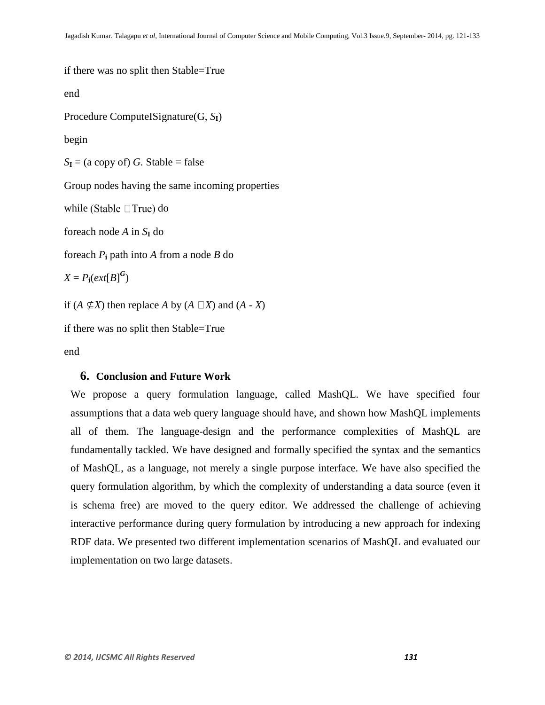```
if there was no split then Stable=True
end
Procedure ComputeISignature(G, SI)
begin
S_I = (a copy of) G. Stable = falseGroup nodes having the same incoming properties 
while (Stable \BoxTrue) do
foreach node A in S_I do
foreach Pi path into A from a node B do
X = P_i(\text{ext}[B]^G)if (A \nsubseteq X) then replace A by (A \square X) and (A - X)if there was no split then Stable=True
```
end

#### **6. Conclusion and Future Work**

We propose a query formulation language, called MashQL. We have specified four assumptions that a data web query language should have, and shown how MashQL implements all of them. The language-design and the performance complexities of MashQL are fundamentally tackled. We have designed and formally specified the syntax and the semantics of MashQL, as a language, not merely a single purpose interface. We have also specified the query formulation algorithm, by which the complexity of understanding a data source (even it is schema free) are moved to the query editor. We addressed the challenge of achieving interactive performance during query formulation by introducing a new approach for indexing RDF data. We presented two different implementation scenarios of MashQL and evaluated our implementation on two large datasets.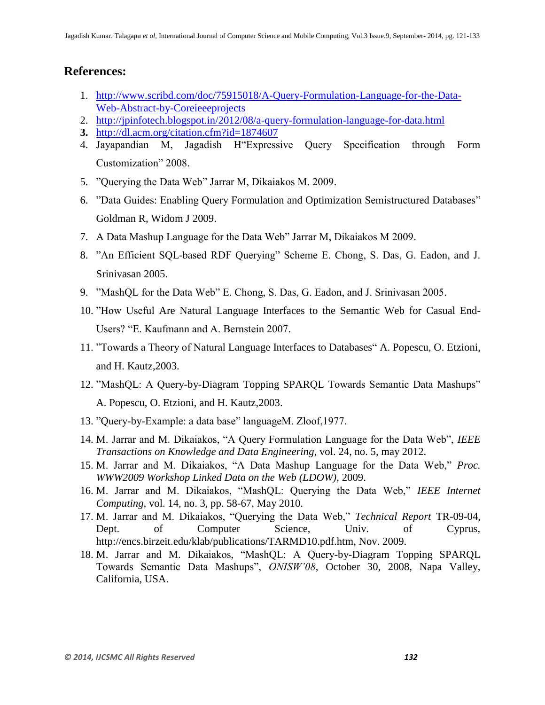# **References:**

- 1. [http://www.scribd.com/doc/75915018/A-Query-Formulation-Language-for-the-Data-](http://www.scribd.com/doc/75915018/A-Query-Formulation-Language-for-the-Data-Web-Abstract-by-Coreieeeprojects)[Web-Abstract-by-Coreieeeprojects](http://www.scribd.com/doc/75915018/A-Query-Formulation-Language-for-the-Data-Web-Abstract-by-Coreieeeprojects)
- 2. <http://jpinfotech.blogspot.in/2012/08/a-query-formulation-language-for-data.html>
- **3.** <http://dl.acm.org/citation.cfm?id=1874607>
- 4. Jayapandian M, Jagadish H<sup>expressive Ouery Specification through Form</sup> Customization" 2008.
- 5. "Ouerving the Data Web" Jarrar M, Dikaiakos M, 2009.
- 6. "Data Guides: Enabling Query Formulation and Optimization Semistructured Databases" Goldman R, Widom J 2009.
- 7. A Data Mashup Language for the Data Web" Jarrar M, Dikaiakos M 2009.
- 8. "An Efficient SQL-based RDF Querying" Scheme E. Chong, S. Das, G. Eadon, and J. Srinivasan 2005.
- 9. "MashQL for the Data Web" E. Chong, S. Das, G. Eadon, and J. Srinivasan 2005.
- 10. "How Useful Are Natural Language Interfaces to the Semantic Web for Casual End-Users? "E. Kaufmann and A. Bernstein 2007.
- 11. "Towards a Theory of Natural Language Interfaces to Databases" A. Popescu, O. Etzioni, and H. Kautz,2003.
- 12. "MashQL: A Query-by-Diagram Topping SPARQL Towards Semantic Data Mashups" A. Popescu, O. Etzioni, and H. Kautz,2003.
- 13. "Ouery-by-Example: a data base" languageM. Zloof, 1977.
- 14. M. Jarrar and M. Dikaiakos, "A Query Formulation Language for the Data Web", *IEEE Transactions on Knowledge and Data Engineering*, vol. 24, no. 5, may 2012.
- 15. M. Jarrar and M. Dikaiakos, "A Data Mashup Language for the Data Web," Proc. *WWW2009 Workshop Linked Data on the Web (LDOW)*, 2009.
- 16. M. Jarrar and M. Dikaiakos, "MashQL: Querying the Data Web," *IEEE Internet Computing*, vol. 14, no. 3, pp. 58-67, May 2010.
- 17. M. Jarrar and M. Dikaiakos, "Querying the Data Web," *Technical Report* TR-09-04, Dept. of Computer Science, Univ. of Cyprus, http://encs.birzeit.edu/klab/publications/TARMD10.pdf.htm, Nov. 2009.
- 18. M. Jarrar and M. Dikaiakos, "MashQL: A Query-by-Diagram Topping SPAROL Towards Semantic Data Mashups", *ONISW'08*, October 30, 2008, Napa Valley, California, USA.